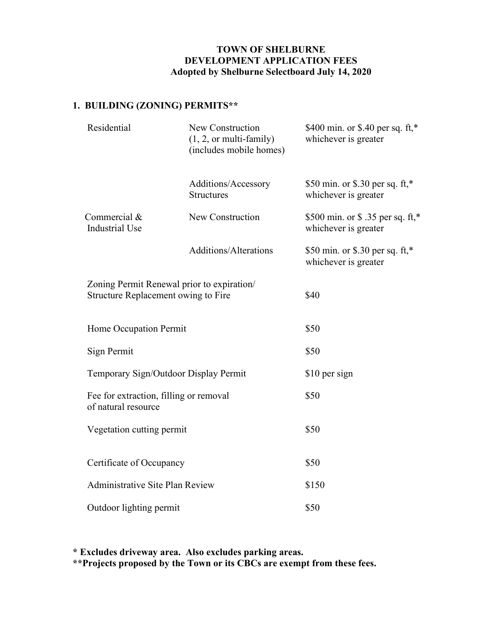## TOWN OF SHELBURNE DEVELOPMENT APPLICATION FEES Adopted by Shelburne Selectboard July 14, 2020

# 1. BUILDING (ZONING) PERMITS\*\*

|  | Residential                                                                                                                                                                                                                                                       | New Construction<br>$(1, 2, or multi-family)$<br>(includes mobile homes) | \$400 min. or \$.40 per sq. ft,*<br>whichever is greater  |
|--|-------------------------------------------------------------------------------------------------------------------------------------------------------------------------------------------------------------------------------------------------------------------|--------------------------------------------------------------------------|-----------------------------------------------------------|
|  |                                                                                                                                                                                                                                                                   | Additions/Accessory<br><b>Structures</b>                                 | \$50 min. or \$.30 per sq. ft,*<br>whichever is greater   |
|  | Commercial $&$<br><b>Industrial Use</b>                                                                                                                                                                                                                           | New Construction                                                         | \$500 min. or \$ .35 per sq. ft,*<br>whichever is greater |
|  |                                                                                                                                                                                                                                                                   | Additions/Alterations                                                    | \$50 min. or \$.30 per sq. ft,*<br>whichever is greater   |
|  | Zoning Permit Renewal prior to expiration/<br>Structure Replacement owing to Fire<br>Home Occupation Permit<br>Sign Permit<br>Temporary Sign/Outdoor Display Permit<br>Fee for extraction, filling or removal<br>of natural resource<br>Vegetation cutting permit |                                                                          | \$40                                                      |
|  |                                                                                                                                                                                                                                                                   |                                                                          | \$50                                                      |
|  |                                                                                                                                                                                                                                                                   |                                                                          | \$50                                                      |
|  |                                                                                                                                                                                                                                                                   |                                                                          | \$10 per sign                                             |
|  |                                                                                                                                                                                                                                                                   |                                                                          | \$50                                                      |
|  |                                                                                                                                                                                                                                                                   |                                                                          | \$50                                                      |
|  | Certificate of Occupancy                                                                                                                                                                                                                                          |                                                                          | \$50                                                      |
|  | Administrative Site Plan Review                                                                                                                                                                                                                                   |                                                                          | \$150                                                     |
|  | Outdoor lighting permit                                                                                                                                                                                                                                           |                                                                          | \$50                                                      |

\* Excludes driveway area. Also excludes parking areas. \*\*Projects proposed by the Town or its CBCs are exempt from these fees.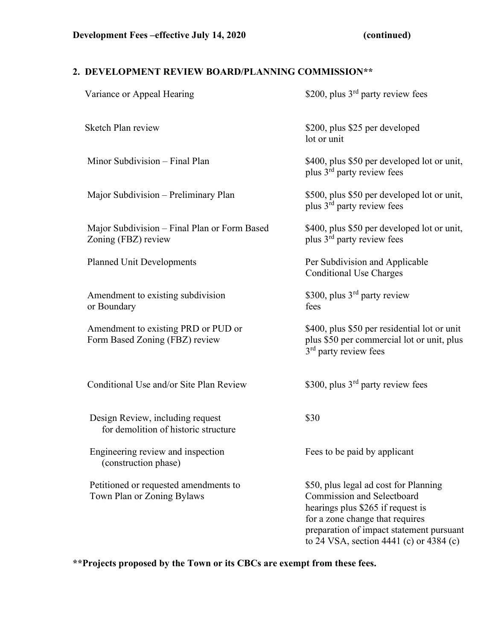# 2. DEVELOPMENT REVIEW BOARD/PLANNING COMMISSION\*\*

| Variance or Appeal Hearing                                               | \$200, plus 3 <sup>rd</sup> party review fees                                                                                                                                                                                      |
|--------------------------------------------------------------------------|------------------------------------------------------------------------------------------------------------------------------------------------------------------------------------------------------------------------------------|
| Sketch Plan review                                                       | \$200, plus \$25 per developed<br>lot or unit                                                                                                                                                                                      |
| Minor Subdivision - Final Plan                                           | \$400, plus \$50 per developed lot or unit,<br>plus $3rd$ party review fees                                                                                                                                                        |
| Major Subdivision – Preliminary Plan                                     | \$500, plus \$50 per developed lot or unit,<br>plus 3 <sup>rd</sup> party review fees                                                                                                                                              |
| Major Subdivision – Final Plan or Form Based<br>Zoning (FBZ) review      | \$400, plus \$50 per developed lot or unit,<br>plus 3 <sup>rd</sup> party review fees                                                                                                                                              |
| <b>Planned Unit Developments</b>                                         | Per Subdivision and Applicable<br><b>Conditional Use Charges</b>                                                                                                                                                                   |
| Amendment to existing subdivision<br>or Boundary                         | \$300, plus 3 <sup>rd</sup> party review<br>fees                                                                                                                                                                                   |
| Amendment to existing PRD or PUD or<br>Form Based Zoning (FBZ) review    | \$400, plus \$50 per residential lot or unit<br>plus \$50 per commercial lot or unit, plus<br>3 <sup>rd</sup> party review fees                                                                                                    |
| Conditional Use and/or Site Plan Review                                  | \$300, plus $3rd$ party review fees                                                                                                                                                                                                |
| Design Review, including request<br>for demolition of historic structure | \$30                                                                                                                                                                                                                               |
| Engineering review and inspection<br>(construction phase)                | Fees to be paid by applicant                                                                                                                                                                                                       |
| Petitioned or requested amendments to<br>Town Plan or Zoning Bylaws      | \$50, plus legal ad cost for Planning<br>Commission and Selectboard<br>hearings plus \$265 if request is<br>for a zone change that requires<br>preparation of impact statement pursuant<br>to 24 VSA, section 4441 (c) or 4384 (c) |

\*\*Projects proposed by the Town or its CBCs are exempt from these fees.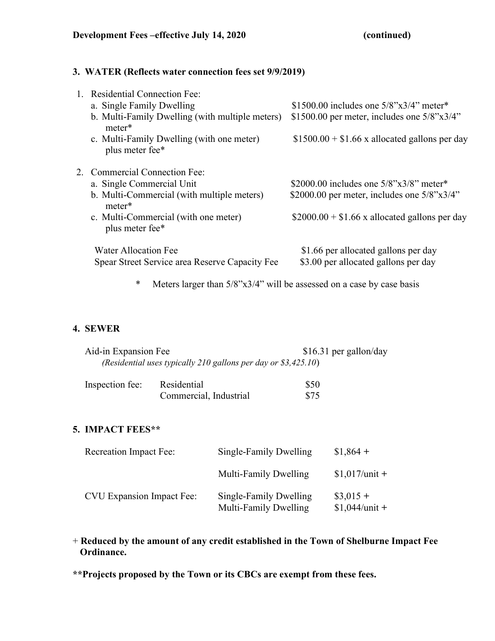### 3. WATER (Reflects water connection fees set 9/9/2019)

| <b>Residential Connection Fee:</b>                           |                                                    |
|--------------------------------------------------------------|----------------------------------------------------|
| a. Single Family Dwelling                                    | \$1500.00 includes one $5/8$ "x $3/4$ " meter*     |
| b. Multi-Family Dwelling (with multiple meters)<br>meter*    | \$1500.00 per meter, includes one $5/8$ "x $3/4$ " |
| c. Multi-Family Dwelling (with one meter)<br>plus meter fee* | $$1500.00 + $1.66$ x allocated gallons per day     |
| 2. Commercial Connection Fee:                                |                                                    |
| a. Single Commercial Unit                                    | \$2000.00 includes one $5/8$ "x $3/8$ " meter*     |
| b. Multi-Commercial (with multiple meters)<br>meter*         | \$2000.00 per meter, includes one $5/8$ "x $3/4$ " |
| c. Multi-Commercial (with one meter)<br>plus meter fee*      | $$2000.00 + $1.66$ x allocated gallons per day     |
| <b>Water Allocation Fee</b>                                  | \$1.66 per allocated gallons per day               |
| Spear Street Service area Reserve Capacity Fee               | \$3.00 per allocated gallons per day               |

\* Meters larger than 5/8"x3/4" will be assessed on a case by case basis

## 4. SEWER

| Aid-in Expansion Fee                                           | $$16.31$ per gallon/day |
|----------------------------------------------------------------|-------------------------|
| (Residential uses typically 210 gallons per day or \$3,425.10) |                         |

| Inspection fee: | Residential            | \$50 |
|-----------------|------------------------|------|
|                 | Commercial, Industrial | \$75 |

## 5. IMPACT FEES\*\*

| <b>Recreation Impact Fee:</b>    | Single-Family Dwelling                          | $$1,864 +$                    |
|----------------------------------|-------------------------------------------------|-------------------------------|
|                                  | Multi-Family Dwelling                           | $$1,017$ /unit +              |
| <b>CVU Expansion Impact Fee:</b> | Single-Family Dwelling<br>Multi-Family Dwelling | $\$3,015+$<br>$$1,044/unit +$ |

# + Reduced by the amount of any credit established in the Town of Shelburne Impact Fee Ordinance.

\*\*Projects proposed by the Town or its CBCs are exempt from these fees.